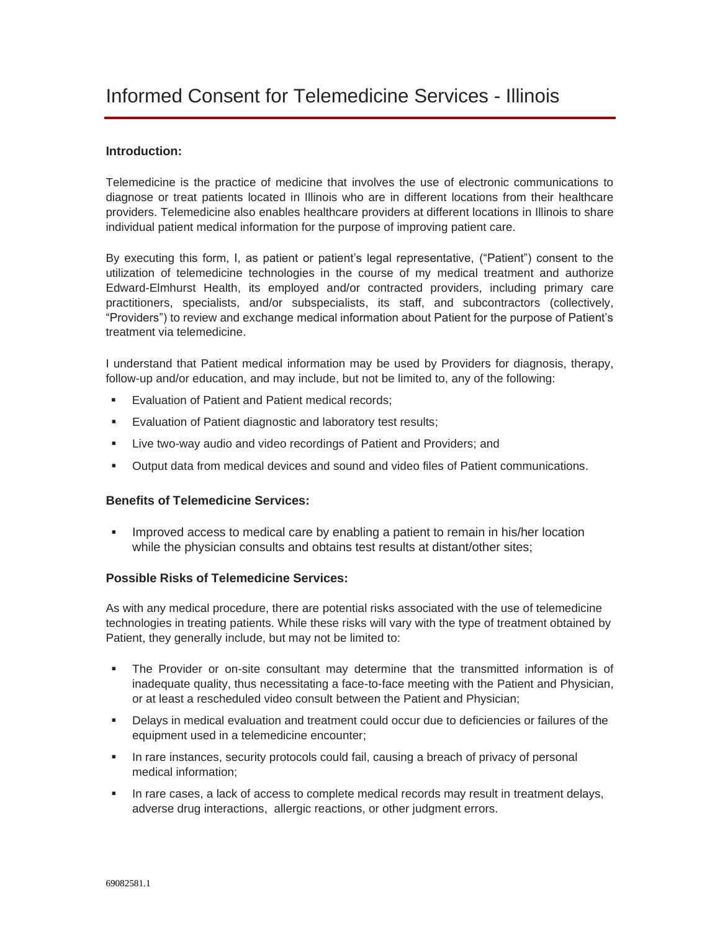## **Introduction:**

Telemedicine is the practice of medicine that involves the use of electronic communications to diagnose or treat patients located in Illinois who are in different locations from their healthcare providers. Telemedicine also enables healthcare providers at different locations in Illinois to share individual patient medical information for the purpose of improving patient care.

By executing this form, I, as patient or patient's legal representative, ("Patient") consent to the utilization of telemedicine technologies in the course of my medical treatment and authorize Edward-Elmhurst Health, its employed and/or contracted providers, including primary care practitioners, specialists, and/or subspecialists, its staff, and subcontractors (collectively, "Providers") to review and exchange medical information about Patient for the purpose of Patient's treatment via telemedicine.

I understand that Patient medical information may be used by Providers for diagnosis, therapy, follow-up and/or education, and may include, but not be limited to, any of the following:

- Evaluation of Patient and Patient medical records;
- Evaluation of Patient diagnostic and laboratory test results;
- Live two-way audio and video recordings of Patient and Providers; and
- Output data from medical devices and sound and video files of Patient communications.

### **Benefits of Telemedicine Services:**

**•** Improved access to medical care by enabling a patient to remain in his/her location while the physician consults and obtains test results at distant/other sites;

### **Possible Risks of Telemedicine Services:**

As with any medical procedure, there are potential risks associated with the use of telemedicine technologies in treating patients. While these risks will vary with the type of treatment obtained by Patient, they generally include, but may not be limited to:

- The Provider or on-site consultant may determine that the transmitted information is of inadequate quality, thus necessitating a face-to-face meeting with the Patient and Physician, or at least a rescheduled video consult between the Patient and Physician;
- Delays in medical evaluation and treatment could occur due to deficiencies or failures of the equipment used in a telemedicine encounter;
- In rare instances, security protocols could fail, causing a breach of privacy of personal medical information;
- **.** In rare cases, a lack of access to complete medical records may result in treatment delays, adverse drug interactions, allergic reactions, or other judgment errors.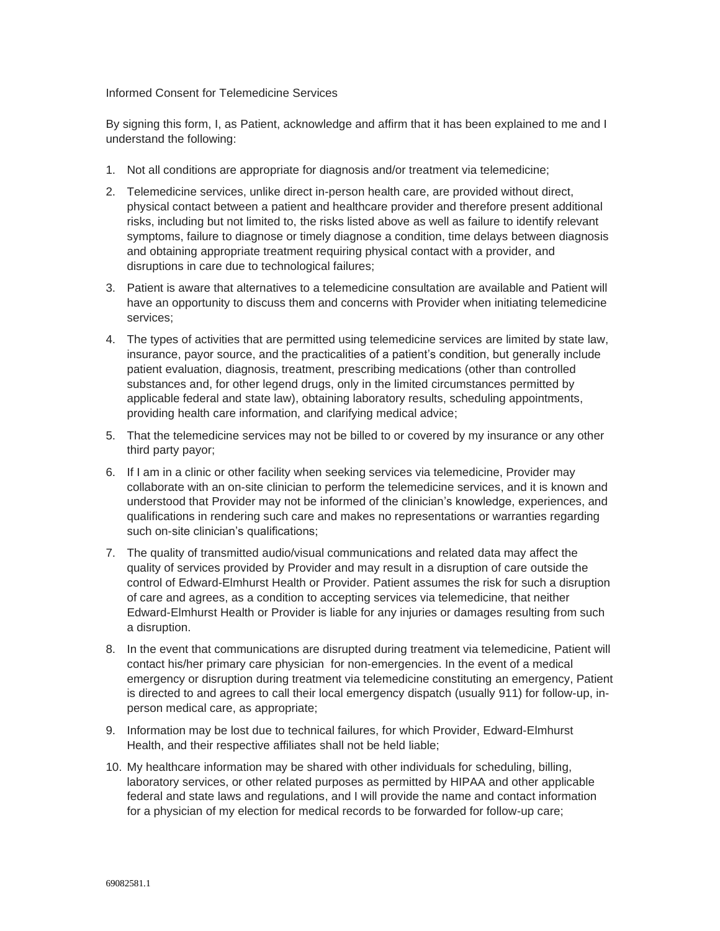#### Informed Consent for Telemedicine Services

By signing this form, I, as Patient, acknowledge and affirm that it has been explained to me and I understand the following:

- 1. Not all conditions are appropriate for diagnosis and/or treatment via telemedicine;
- 2. Telemedicine services, unlike direct in-person health care, are provided without direct, physical contact between a patient and healthcare provider and therefore present additional risks, including but not limited to, the risks listed above as well as failure to identify relevant symptoms, failure to diagnose or timely diagnose a condition, time delays between diagnosis and obtaining appropriate treatment requiring physical contact with a provider, and disruptions in care due to technological failures;
- 3. Patient is aware that alternatives to a telemedicine consultation are available and Patient will have an opportunity to discuss them and concerns with Provider when initiating telemedicine services;
- 4. The types of activities that are permitted using telemedicine services are limited by state law, insurance, payor source, and the practicalities of a patient's condition, but generally include patient evaluation, diagnosis, treatment, prescribing medications (other than controlled substances and, for other legend drugs, only in the limited circumstances permitted by applicable federal and state law), obtaining laboratory results, scheduling appointments, providing health care information, and clarifying medical advice;
- 5. That the telemedicine services may not be billed to or covered by my insurance or any other third party payor;
- 6. If I am in a clinic or other facility when seeking services via telemedicine, Provider may collaborate with an on-site clinician to perform the telemedicine services, and it is known and understood that Provider may not be informed of the clinician's knowledge, experiences, and qualifications in rendering such care and makes no representations or warranties regarding such on-site clinician's qualifications;
- 7. The quality of transmitted audio/visual communications and related data may affect the quality of services provided by Provider and may result in a disruption of care outside the control of Edward-Elmhurst Health or Provider. Patient assumes the risk for such a disruption of care and agrees, as a condition to accepting services via telemedicine, that neither Edward-Elmhurst Health or Provider is liable for any injuries or damages resulting from such a disruption.
- 8. In the event that communications are disrupted during treatment via telemedicine, Patient will contact his/her primary care physician for non-emergencies. In the event of a medical emergency or disruption during treatment via telemedicine constituting an emergency, Patient is directed to and agrees to call their local emergency dispatch (usually 911) for follow-up, inperson medical care, as appropriate;
- 9. Information may be lost due to technical failures, for which Provider, Edward-Elmhurst Health, and their respective affiliates shall not be held liable;
- 10. My healthcare information may be shared with other individuals for scheduling, billing, laboratory services, or other related purposes as permitted by HIPAA and other applicable federal and state laws and regulations, and I will provide the name and contact information for a physician of my election for medical records to be forwarded for follow-up care;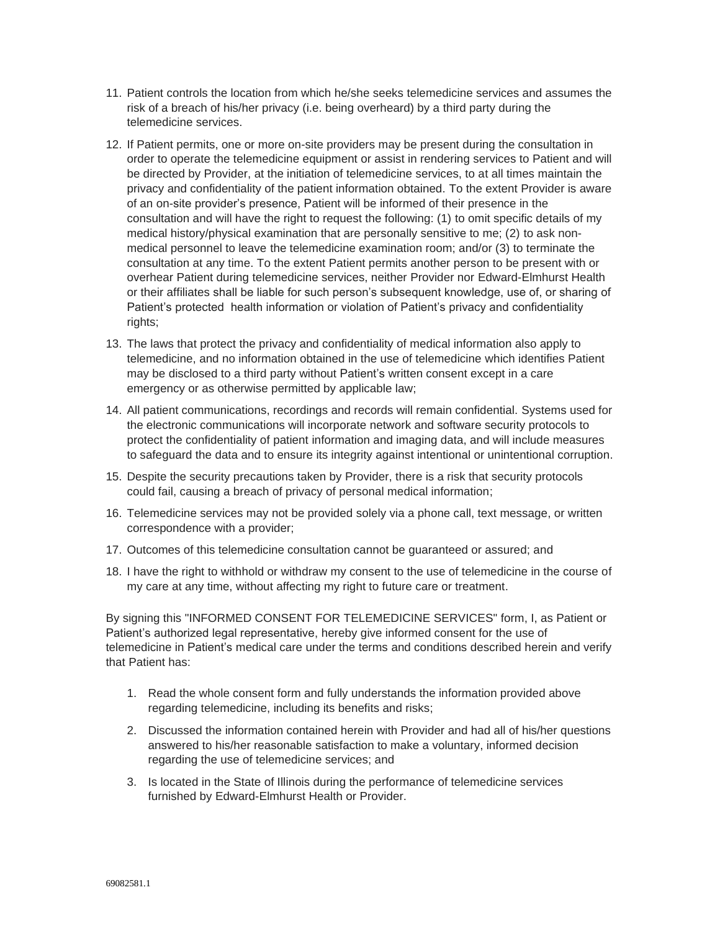- 11. Patient controls the location from which he/she seeks telemedicine services and assumes the risk of a breach of his/her privacy (i.e. being overheard) by a third party during the telemedicine services.
- 12. If Patient permits, one or more on-site providers may be present during the consultation in order to operate the telemedicine equipment or assist in rendering services to Patient and will be directed by Provider, at the initiation of telemedicine services, to at all times maintain the privacy and confidentiality of the patient information obtained. To the extent Provider is aware of an on-site provider's presence, Patient will be informed of their presence in the consultation and will have the right to request the following: (1) to omit specific details of my medical history/physical examination that are personally sensitive to me; (2) to ask nonmedical personnel to leave the telemedicine examination room; and/or (3) to terminate the consultation at any time. To the extent Patient permits another person to be present with or overhear Patient during telemedicine services, neither Provider nor Edward-Elmhurst Health or their affiliates shall be liable for such person's subsequent knowledge, use of, or sharing of Patient's protected health information or violation of Patient's privacy and confidentiality rights;
- 13. The laws that protect the privacy and confidentiality of medical information also apply to telemedicine, and no information obtained in the use of telemedicine which identifies Patient may be disclosed to a third party without Patient's written consent except in a care emergency or as otherwise permitted by applicable law;
- 14. All patient communications, recordings and records will remain confidential. Systems used for the electronic communications will incorporate network and software security protocols to protect the confidentiality of patient information and imaging data, and will include measures to safeguard the data and to ensure its integrity against intentional or unintentional corruption.
- 15. Despite the security precautions taken by Provider, there is a risk that security protocols could fail, causing a breach of privacy of personal medical information;
- 16. Telemedicine services may not be provided solely via a phone call, text message, or written correspondence with a provider;
- 17. Outcomes of this telemedicine consultation cannot be guaranteed or assured; and
- 18. I have the right to withhold or withdraw my consent to the use of telemedicine in the course of my care at any time, without affecting my right to future care or treatment.

By signing this "INFORMED CONSENT FOR TELEMEDICINE SERVICES" form, I, as Patient or Patient's authorized legal representative, hereby give informed consent for the use of telemedicine in Patient's medical care under the terms and conditions described herein and verify that Patient has:

- 1. Read the whole consent form and fully understands the information provided above regarding telemedicine, including its benefits and risks;
- 2. Discussed the information contained herein with Provider and had all of his/her questions answered to his/her reasonable satisfaction to make a voluntary, informed decision regarding the use of telemedicine services; and
- 3. Is located in the State of Illinois during the performance of telemedicine services furnished by Edward-Elmhurst Health or Provider.